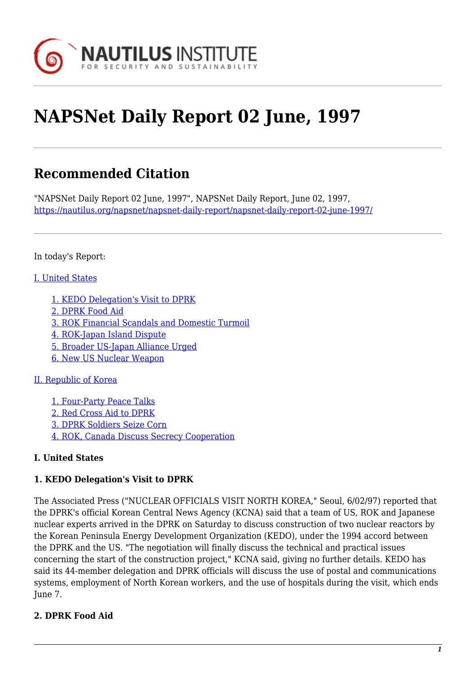

# **NAPSNet Daily Report 02 June, 1997**

# **Recommended Citation**

"NAPSNet Daily Report 02 June, 1997", NAPSNet Daily Report, June 02, 1997, <https://nautilus.org/napsnet/napsnet-daily-report/napsnet-daily-report-02-june-1997/>

In today's Report:

#### [I. United States](#page-1-0)

- [1. KEDO Delegation's Visit to DPRK](#page-1-1)
- [2. DPRK Food Aid](#page-2-0)
- [3. ROK Financial Scandals and Domestic Turmoil](#page-2-1)
- [4. ROK-Japan Island Dispute](#page-3-0)
- [5. Broader US-Japan Alliance Urged](#page-3-1)
- [6. New US Nuclear Weapon](#page-4-0)

#### [II. Republic of Korea](#page-5-0)

[1. Four-Party Peace Talks](#page-5-1) [2. Red Cross Aid to DPRK](#page-5-2) [3. DPRK Soldiers Seize Corn](#page-5-3) [4. ROK, Canada Discuss Secrecy Cooperation](#page-6-0)

# **I. United States**

# **1. KEDO Delegation's Visit to DPRK**

The Associated Press ("NUCLEAR OFFICIALS VISIT NORTH KOREA," Seoul, 6/02/97) reported that the DPRK's official Korean Central News Agency (KCNA) said that a team of US, ROK and Japanese nuclear experts arrived in the DPRK on Saturday to discuss construction of two nuclear reactors by the Korean Peninsula Energy Development Organization (KEDO), under the 1994 accord between the DPRK and the US. "The negotiation will finally discuss the technical and practical issues concerning the start of the construction project," KCNA said, giving no further details. KEDO has said its 44-member delegation and DPRK officials will discuss the use of postal and communications systems, employment of North Korean workers, and the use of hospitals during the visit, which ends June 7.

# **2. DPRK Food Aid**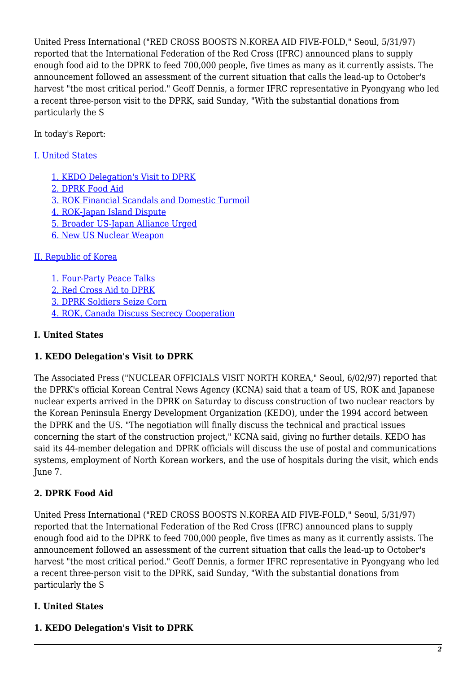United Press International ("RED CROSS BOOSTS N.KOREA AID FIVE-FOLD," Seoul, 5/31/97) reported that the International Federation of the Red Cross (IFRC) announced plans to supply enough food aid to the DPRK to feed 700,000 people, five times as many as it currently assists. The announcement followed an assessment of the current situation that calls the lead-up to October's harvest "the most critical period." Geoff Dennis, a former IFRC representative in Pyongyang who led a recent three-person visit to the DPRK, said Sunday, "With the substantial donations from particularly the S

In today's Report:

## [I. United States](#page-1-0)

[1. KEDO Delegation's Visit to DPRK](#page-1-1) [2. DPRK Food Aid](#page-2-0) [3. ROK Financial Scandals and Domestic Turmoil](#page-2-1) [4. ROK-Japan Island Dispute](#page-3-0) [5. Broader US-Japan Alliance Urged](#page-3-1) [6. New US Nuclear Weapon](#page-4-0)

### [II. Republic of Korea](#page-5-0)

[1. Four-Party Peace Talks](#page-5-1) [2. Red Cross Aid to DPRK](#page-5-2) [3. DPRK Soldiers Seize Corn](#page-5-3) [4. ROK, Canada Discuss Secrecy Cooperation](#page-6-0)

#### **I. United States**

# **1. KEDO Delegation's Visit to DPRK**

The Associated Press ("NUCLEAR OFFICIALS VISIT NORTH KOREA," Seoul, 6/02/97) reported that the DPRK's official Korean Central News Agency (KCNA) said that a team of US, ROK and Japanese nuclear experts arrived in the DPRK on Saturday to discuss construction of two nuclear reactors by the Korean Peninsula Energy Development Organization (KEDO), under the 1994 accord between the DPRK and the US. "The negotiation will finally discuss the technical and practical issues concerning the start of the construction project," KCNA said, giving no further details. KEDO has said its 44-member delegation and DPRK officials will discuss the use of postal and communications systems, employment of North Korean workers, and the use of hospitals during the visit, which ends June 7.

#### **2. DPRK Food Aid**

United Press International ("RED CROSS BOOSTS N.KOREA AID FIVE-FOLD," Seoul, 5/31/97) reported that the International Federation of the Red Cross (IFRC) announced plans to supply enough food aid to the DPRK to feed 700,000 people, five times as many as it currently assists. The announcement followed an assessment of the current situation that calls the lead-up to October's harvest "the most critical period." Geoff Dennis, a former IFRC representative in Pyongyang who led a recent three-person visit to the DPRK, said Sunday, "With the substantial donations from particularly the S

#### <span id="page-1-0"></span>**I. United States**

#### <span id="page-1-1"></span>**1. KEDO Delegation's Visit to DPRK**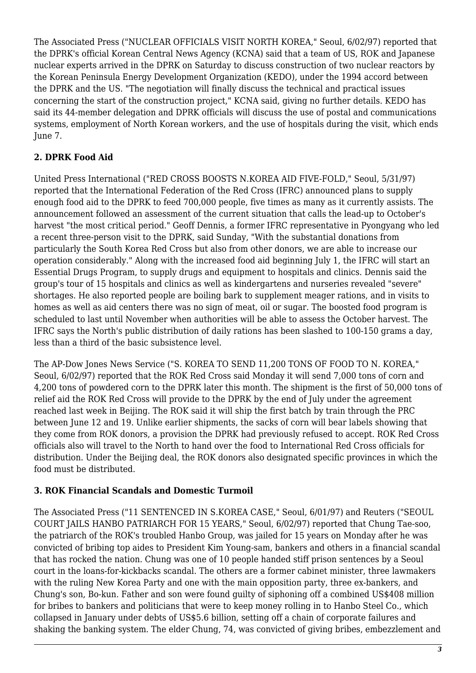The Associated Press ("NUCLEAR OFFICIALS VISIT NORTH KOREA," Seoul, 6/02/97) reported that the DPRK's official Korean Central News Agency (KCNA) said that a team of US, ROK and Japanese nuclear experts arrived in the DPRK on Saturday to discuss construction of two nuclear reactors by the Korean Peninsula Energy Development Organization (KEDO), under the 1994 accord between the DPRK and the US. "The negotiation will finally discuss the technical and practical issues concerning the start of the construction project," KCNA said, giving no further details. KEDO has said its 44-member delegation and DPRK officials will discuss the use of postal and communications systems, employment of North Korean workers, and the use of hospitals during the visit, which ends June 7.

# <span id="page-2-0"></span>**2. DPRK Food Aid**

United Press International ("RED CROSS BOOSTS N.KOREA AID FIVE-FOLD," Seoul, 5/31/97) reported that the International Federation of the Red Cross (IFRC) announced plans to supply enough food aid to the DPRK to feed 700,000 people, five times as many as it currently assists. The announcement followed an assessment of the current situation that calls the lead-up to October's harvest "the most critical period." Geoff Dennis, a former IFRC representative in Pyongyang who led a recent three-person visit to the DPRK, said Sunday, "With the substantial donations from particularly the South Korea Red Cross but also from other donors, we are able to increase our operation considerably." Along with the increased food aid beginning July 1, the IFRC will start an Essential Drugs Program, to supply drugs and equipment to hospitals and clinics. Dennis said the group's tour of 15 hospitals and clinics as well as kindergartens and nurseries revealed "severe" shortages. He also reported people are boiling bark to supplement meager rations, and in visits to homes as well as aid centers there was no sign of meat, oil or sugar. The boosted food program is scheduled to last until November when authorities will be able to assess the October harvest. The IFRC says the North's public distribution of daily rations has been slashed to 100-150 grams a day, less than a third of the basic subsistence level.

The AP-Dow Jones News Service ("S. KOREA TO SEND 11,200 TONS OF FOOD TO N. KOREA," Seoul, 6/02/97) reported that the ROK Red Cross said Monday it will send 7,000 tons of corn and 4,200 tons of powdered corn to the DPRK later this month. The shipment is the first of 50,000 tons of relief aid the ROK Red Cross will provide to the DPRK by the end of July under the agreement reached last week in Beijing. The ROK said it will ship the first batch by train through the PRC between June 12 and 19. Unlike earlier shipments, the sacks of corn will bear labels showing that they come from ROK donors, a provision the DPRK had previously refused to accept. ROK Red Cross officials also will travel to the North to hand over the food to International Red Cross officials for distribution. Under the Beijing deal, the ROK donors also designated specific provinces in which the food must be distributed.

#### <span id="page-2-1"></span>**3. ROK Financial Scandals and Domestic Turmoil**

The Associated Press ("11 SENTENCED IN S.KOREA CASE," Seoul, 6/01/97) and Reuters ("SEOUL COURT JAILS HANBO PATRIARCH FOR 15 YEARS," Seoul, 6/02/97) reported that Chung Tae-soo, the patriarch of the ROK's troubled Hanbo Group, was jailed for 15 years on Monday after he was convicted of bribing top aides to President Kim Young-sam, bankers and others in a financial scandal that has rocked the nation. Chung was one of 10 people handed stiff prison sentences by a Seoul court in the loans-for-kickbacks scandal. The others are a former cabinet minister, three lawmakers with the ruling New Korea Party and one with the main opposition party, three ex-bankers, and Chung's son, Bo-kun. Father and son were found guilty of siphoning off a combined US\$408 million for bribes to bankers and politicians that were to keep money rolling in to Hanbo Steel Co., which collapsed in January under debts of US\$5.6 billion, setting off a chain of corporate failures and shaking the banking system. The elder Chung, 74, was convicted of giving bribes, embezzlement and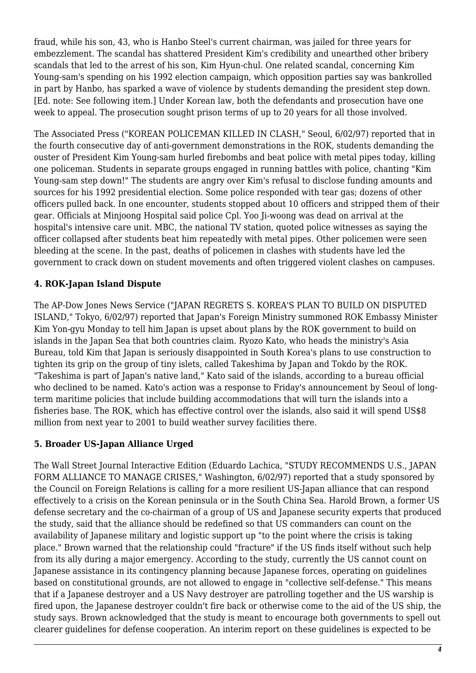fraud, while his son, 43, who is Hanbo Steel's current chairman, was jailed for three years for embezzlement. The scandal has shattered President Kim's credibility and unearthed other bribery scandals that led to the arrest of his son, Kim Hyun-chul. One related scandal, concerning Kim Young-sam's spending on his 1992 election campaign, which opposition parties say was bankrolled in part by Hanbo, has sparked a wave of violence by students demanding the president step down. [Ed. note: See following item.] Under Korean law, both the defendants and prosecution have one week to appeal. The prosecution sought prison terms of up to 20 years for all those involved.

The Associated Press ("KOREAN POLICEMAN KILLED IN CLASH," Seoul, 6/02/97) reported that in the fourth consecutive day of anti-government demonstrations in the ROK, students demanding the ouster of President Kim Young-sam hurled firebombs and beat police with metal pipes today, killing one policeman. Students in separate groups engaged in running battles with police, chanting "Kim Young-sam step down!" The students are angry over Kim's refusal to disclose funding amounts and sources for his 1992 presidential election. Some police responded with tear gas; dozens of other officers pulled back. In one encounter, students stopped about 10 officers and stripped them of their gear. Officials at Minjoong Hospital said police Cpl. Yoo Ji-woong was dead on arrival at the hospital's intensive care unit. MBC, the national TV station, quoted police witnesses as saying the officer collapsed after students beat him repeatedly with metal pipes. Other policemen were seen bleeding at the scene. In the past, deaths of policemen in clashes with students have led the government to crack down on student movements and often triggered violent clashes on campuses.

# <span id="page-3-0"></span>**4. ROK-Japan Island Dispute**

The AP-Dow Jones News Service ("JAPAN REGRETS S. KOREA'S PLAN TO BUILD ON DISPUTED ISLAND," Tokyo, 6/02/97) reported that Japan's Foreign Ministry summoned ROK Embassy Minister Kim Yon-gyu Monday to tell him Japan is upset about plans by the ROK government to build on islands in the Japan Sea that both countries claim. Ryozo Kato, who heads the ministry's Asia Bureau, told Kim that Japan is seriously disappointed in South Korea's plans to use construction to tighten its grip on the group of tiny islets, called Takeshima by Japan and Tokdo by the ROK. "Takeshima is part of Japan's native land," Kato said of the islands, according to a bureau official who declined to be named. Kato's action was a response to Friday's announcement by Seoul of longterm maritime policies that include building accommodations that will turn the islands into a fisheries base. The ROK, which has effective control over the islands, also said it will spend US\$8 million from next year to 2001 to build weather survey facilities there.

#### <span id="page-3-1"></span>**5. Broader US-Japan Alliance Urged**

The Wall Street Journal Interactive Edition (Eduardo Lachica, "STUDY RECOMMENDS U.S., JAPAN FORM ALLIANCE TO MANAGE CRISES," Washington, 6/02/97) reported that a study sponsored by the Council on Foreign Relations is calling for a more resilient US-Japan alliance that can respond effectively to a crisis on the Korean peninsula or in the South China Sea. Harold Brown, a former US defense secretary and the co-chairman of a group of US and Japanese security experts that produced the study, said that the alliance should be redefined so that US commanders can count on the availability of Japanese military and logistic support up "to the point where the crisis is taking place." Brown warned that the relationship could "fracture" if the US finds itself without such help from its ally during a major emergency. According to the study, currently the US cannot count on Japanese assistance in its contingency planning because Japanese forces, operating on guidelines based on constitutional grounds, are not allowed to engage in "collective self-defense." This means that if a Japanese destroyer and a US Navy destroyer are patrolling together and the US warship is fired upon, the Japanese destroyer couldn't fire back or otherwise come to the aid of the US ship, the study says. Brown acknowledged that the study is meant to encourage both governments to spell out clearer guidelines for defense cooperation. An interim report on these guidelines is expected to be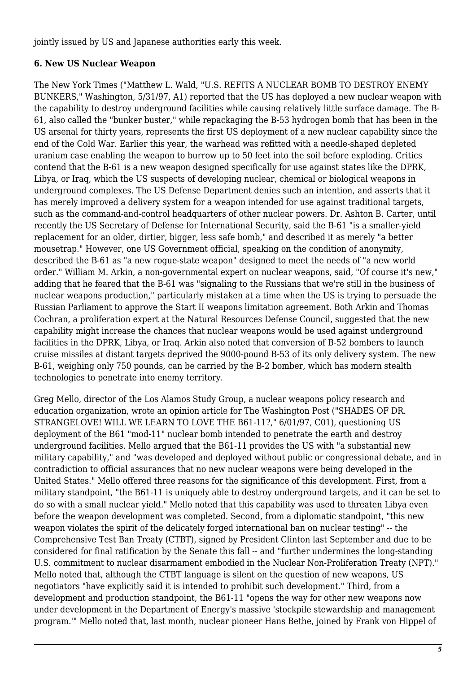jointly issued by US and Japanese authorities early this week.

## <span id="page-4-0"></span>**6. New US Nuclear Weapon**

The New York Times ("Matthew L. Wald, "U.S. REFITS A NUCLEAR BOMB TO DESTROY ENEMY BUNKERS," Washington, 5/31/97, A1) reported that the US has deployed a new nuclear weapon with the capability to destroy underground facilities while causing relatively little surface damage. The B-61, also called the "bunker buster," while repackaging the B-53 hydrogen bomb that has been in the US arsenal for thirty years, represents the first US deployment of a new nuclear capability since the end of the Cold War. Earlier this year, the warhead was refitted with a needle-shaped depleted uranium case enabling the weapon to burrow up to 50 feet into the soil before exploding. Critics contend that the B-61 is a new weapon designed specifically for use against states like the DPRK, Libya, or Iraq, which the US suspects of developing nuclear, chemical or biological weapons in underground complexes. The US Defense Department denies such an intention, and asserts that it has merely improved a delivery system for a weapon intended for use against traditional targets, such as the command-and-control headquarters of other nuclear powers. Dr. Ashton B. Carter, until recently the US Secretary of Defense for International Security, said the B-61 "is a smaller-yield replacement for an older, dirtier, bigger, less safe bomb," and described it as merely "a better mousetrap." However, one US Government official, speaking on the condition of anonymity, described the B-61 as "a new rogue-state weapon" designed to meet the needs of "a new world order." William M. Arkin, a non-governmental expert on nuclear weapons, said, "Of course it's new," adding that he feared that the B-61 was "signaling to the Russians that we're still in the business of nuclear weapons production," particularly mistaken at a time when the US is trying to persuade the Russian Parliament to approve the Start II weapons limitation agreement. Both Arkin and Thomas Cochran, a proliferation expert at the Natural Resources Defense Council, suggested that the new capability might increase the chances that nuclear weapons would be used against underground facilities in the DPRK, Libya, or Iraq. Arkin also noted that conversion of B-52 bombers to launch cruise missiles at distant targets deprived the 9000-pound B-53 of its only delivery system. The new B-61, weighing only 750 pounds, can be carried by the B-2 bomber, which has modern stealth technologies to penetrate into enemy territory.

Greg Mello, director of the Los Alamos Study Group, a nuclear weapons policy research and education organization, wrote an opinion article for The Washington Post ("SHADES OF DR. STRANGELOVE! WILL WE LEARN TO LOVE THE B61-11?," 6/01/97, C01), questioning US deployment of the B61 "mod-11" nuclear bomb intended to penetrate the earth and destroy underground facilities. Mello argued that the B61-11 provides the US with "a substantial new military capability," and "was developed and deployed without public or congressional debate, and in contradiction to official assurances that no new nuclear weapons were being developed in the United States." Mello offered three reasons for the significance of this development. First, from a military standpoint, "the B61-11 is uniquely able to destroy underground targets, and it can be set to do so with a small nuclear yield." Mello noted that this capability was used to threaten Libya even before the weapon development was completed. Second, from a diplomatic standpoint, "this new weapon violates the spirit of the delicately forged international ban on nuclear testing" -- the Comprehensive Test Ban Treaty (CTBT), signed by President Clinton last September and due to be considered for final ratification by the Senate this fall -- and "further undermines the long-standing U.S. commitment to nuclear disarmament embodied in the Nuclear Non-Proliferation Treaty (NPT)." Mello noted that, although the CTBT language is silent on the question of new weapons, US negotiators "have explicitly said it is intended to prohibit such development." Third, from a development and production standpoint, the B61-11 "opens the way for other new weapons now under development in the Department of Energy's massive 'stockpile stewardship and management program.'" Mello noted that, last month, nuclear pioneer Hans Bethe, joined by Frank von Hippel of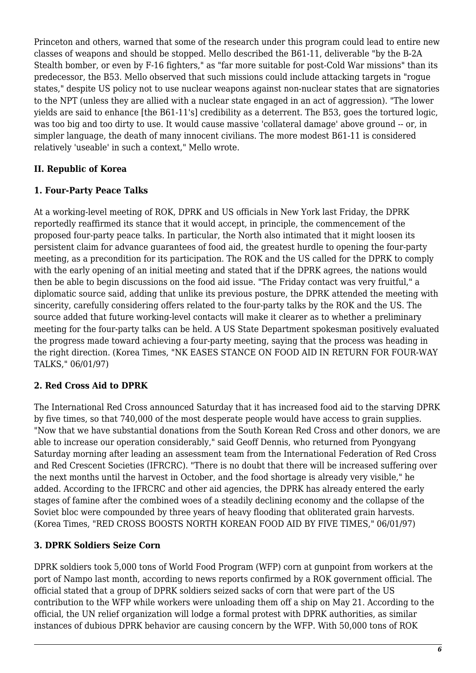Princeton and others, warned that some of the research under this program could lead to entire new classes of weapons and should be stopped. Mello described the B61-11, deliverable "by the B-2A Stealth bomber, or even by F-16 fighters," as "far more suitable for post-Cold War missions" than its predecessor, the B53. Mello observed that such missions could include attacking targets in "rogue states," despite US policy not to use nuclear weapons against non-nuclear states that are signatories to the NPT (unless they are allied with a nuclear state engaged in an act of aggression). "The lower yields are said to enhance [the B61-11's] credibility as a deterrent. The B53, goes the tortured logic, was too big and too dirty to use. It would cause massive 'collateral damage' above ground -- or, in simpler language, the death of many innocent civilians. The more modest B61-11 is considered relatively 'useable' in such a context," Mello wrote.

### <span id="page-5-0"></span>**II. Republic of Korea**

#### <span id="page-5-1"></span>**1. Four-Party Peace Talks**

At a working-level meeting of ROK, DPRK and US officials in New York last Friday, the DPRK reportedly reaffirmed its stance that it would accept, in principle, the commencement of the proposed four-party peace talks. In particular, the North also intimated that it might loosen its persistent claim for advance guarantees of food aid, the greatest hurdle to opening the four-party meeting, as a precondition for its participation. The ROK and the US called for the DPRK to comply with the early opening of an initial meeting and stated that if the DPRK agrees, the nations would then be able to begin discussions on the food aid issue. "The Friday contact was very fruitful," a diplomatic source said, adding that unlike its previous posture, the DPRK attended the meeting with sincerity, carefully considering offers related to the four-party talks by the ROK and the US. The source added that future working-level contacts will make it clearer as to whether a preliminary meeting for the four-party talks can be held. A US State Department spokesman positively evaluated the progress made toward achieving a four-party meeting, saying that the process was heading in the right direction. (Korea Times, "NK EASES STANCE ON FOOD AID IN RETURN FOR FOUR-WAY TALKS," 06/01/97)

# <span id="page-5-2"></span>**2. Red Cross Aid to DPRK**

The International Red Cross announced Saturday that it has increased food aid to the starving DPRK by five times, so that 740,000 of the most desperate people would have access to grain supplies. "Now that we have substantial donations from the South Korean Red Cross and other donors, we are able to increase our operation considerably," said Geoff Dennis, who returned from Pyongyang Saturday morning after leading an assessment team from the International Federation of Red Cross and Red Crescent Societies (IFRCRC). "There is no doubt that there will be increased suffering over the next months until the harvest in October, and the food shortage is already very visible," he added. According to the IFRCRC and other aid agencies, the DPRK has already entered the early stages of famine after the combined woes of a steadily declining economy and the collapse of the Soviet bloc were compounded by three years of heavy flooding that obliterated grain harvests. (Korea Times, "RED CROSS BOOSTS NORTH KOREAN FOOD AID BY FIVE TIMES," 06/01/97)

#### <span id="page-5-3"></span>**3. DPRK Soldiers Seize Corn**

DPRK soldiers took 5,000 tons of World Food Program (WFP) corn at gunpoint from workers at the port of Nampo last month, according to news reports confirmed by a ROK government official. The official stated that a group of DPRK soldiers seized sacks of corn that were part of the US contribution to the WFP while workers were unloading them off a ship on May 21. According to the official, the UN relief organization will lodge a formal protest with DPRK authorities, as similar instances of dubious DPRK behavior are causing concern by the WFP. With 50,000 tons of ROK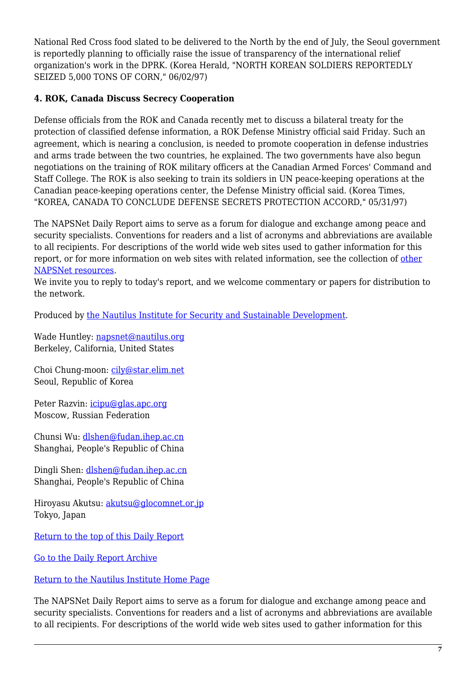National Red Cross food slated to be delivered to the North by the end of July, the Seoul government is reportedly planning to officially raise the issue of transparency of the international relief organization's work in the DPRK. (Korea Herald, "NORTH KOREAN SOLDIERS REPORTEDLY SEIZED 5,000 TONS OF CORN," 06/02/97)

#### <span id="page-6-0"></span>**4. ROK, Canada Discuss Secrecy Cooperation**

Defense officials from the ROK and Canada recently met to discuss a bilateral treaty for the protection of classified defense information, a ROK Defense Ministry official said Friday. Such an agreement, which is nearing a conclusion, is needed to promote cooperation in defense industries and arms trade between the two countries, he explained. The two governments have also begun negotiations on the training of ROK military officers at the Canadian Armed Forces' Command and Staff College. The ROK is also seeking to train its soldiers in UN peace-keeping operations at the Canadian peace-keeping operations center, the Defense Ministry official said. (Korea Times, "KOREA, CANADA TO CONCLUDE DEFENSE SECRETS PROTECTION ACCORD," 05/31/97)

The NAPSNet Daily Report aims to serve as a forum for dialogue and exchange among peace and security specialists. Conventions for readers and a list of acronyms and abbreviations are available to all recipients. For descriptions of the world wide web sites used to gather information for this report, or for more information on web sites with related information, see the collection of [other](http://www.nautilus.org/napsnet/othnaps.html) [NAPSNet resources.](http://www.nautilus.org/napsnet/othnaps.html)

We invite you to reply to today's report, and we welcome commentary or papers for distribution to the network.

Produced by [the Nautilus Institute for Security and Sustainable Development](http://www.nautilus.org/morenaut.html).

Wade Huntley: [napsnet@nautilus.org](mailto:napsnet@nautilus.org) Berkeley, California, United States

Choi Chung-moon: [cily@star.elim.net](mailto:cily@star.elim.net) Seoul, Republic of Korea

Peter Razvin: [icipu@glas.apc.org](mailto:icipu@glas.apc.org) Moscow, Russian Federation

Chunsi Wu: [dlshen@fudan.ihep.ac.cn](mailto:dlshen@fudan.ihep.ac.cn (Chunsi Wu)) Shanghai, People's Republic of China

Dingli Shen: [dlshen@fudan.ihep.ac.cn](mailto:dlshen@fudan.ihep.ac.cn (Dingli Shen)) Shanghai, People's Republic of China

Hiroyasu Akutsu: [akutsu@glocomnet.or.jp](mailto:akutsu@glocomnet.or.jp) Tokyo, Japan

[Return to the top of this Daily Report](#page--1-0)

[Go to the Daily Report Archive](ftp://ftp.nautilus.org/napsnet/daily_reports)

[Return to the Nautilus Institute Home Page](http://www.nautilus.org)

The NAPSNet Daily Report aims to serve as a forum for dialogue and exchange among peace and security specialists. Conventions for readers and a list of acronyms and abbreviations are available to all recipients. For descriptions of the world wide web sites used to gather information for this